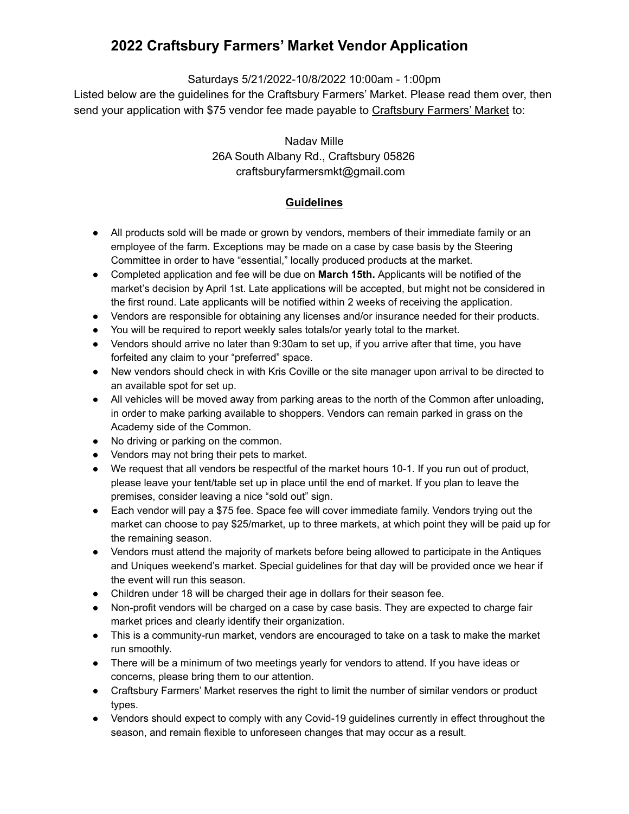## **2022 Craftsbury Farmers' Market Vendor Application**

Saturdays 5/21/2022-10/8/2022 10:00am - 1:00pm

Listed below are the guidelines for the Craftsbury Farmers' Market. Please read them over, then send your application with \$75 vendor fee made payable to Craftsbury Farmers' Market to:

> Nadav Mille 26A South Albany Rd., Craftsbury 05826 craftsburyfarmersmkt@gmail.com

## **Guidelines**

- All products sold will be made or grown by vendors, members of their immediate family or an employee of the farm. Exceptions may be made on a case by case basis by the Steering Committee in order to have "essential," locally produced products at the market.
- Completed application and fee will be due on **March 15th.** Applicants will be notified of the market's decision by April 1st. Late applications will be accepted, but might not be considered in the first round. Late applicants will be notified within 2 weeks of receiving the application.
- Vendors are responsible for obtaining any licenses and/or insurance needed for their products.
- You will be required to report weekly sales totals/or yearly total to the market.
- Vendors should arrive no later than 9:30am to set up, if you arrive after that time, you have forfeited any claim to your "preferred" space.
- New vendors should check in with Kris Coville or the site manager upon arrival to be directed to an available spot for set up.
- All vehicles will be moved away from parking areas to the north of the Common after unloading, in order to make parking available to shoppers. Vendors can remain parked in grass on the Academy side of the Common.
- No driving or parking on the common.
- Vendors may not bring their pets to market.
- We request that all vendors be respectful of the market hours 10-1. If you run out of product, please leave your tent/table set up in place until the end of market. If you plan to leave the premises, consider leaving a nice "sold out" sign.
- Each vendor will pay a \$75 fee. Space fee will cover immediate family. Vendors trying out the market can choose to pay \$25/market, up to three markets, at which point they will be paid up for the remaining season.
- Vendors must attend the majority of markets before being allowed to participate in the Antiques and Uniques weekend's market. Special guidelines for that day will be provided once we hear if the event will run this season.
- Children under 18 will be charged their age in dollars for their season fee.
- Non-profit vendors will be charged on a case by case basis. They are expected to charge fair market prices and clearly identify their organization.
- This is a community-run market, vendors are encouraged to take on a task to make the market run smoothly.
- There will be a minimum of two meetings yearly for vendors to attend. If you have ideas or concerns, please bring them to our attention.
- Craftsbury Farmers' Market reserves the right to limit the number of similar vendors or product types.
- Vendors should expect to comply with any Covid-19 guidelines currently in effect throughout the season, and remain flexible to unforeseen changes that may occur as a result.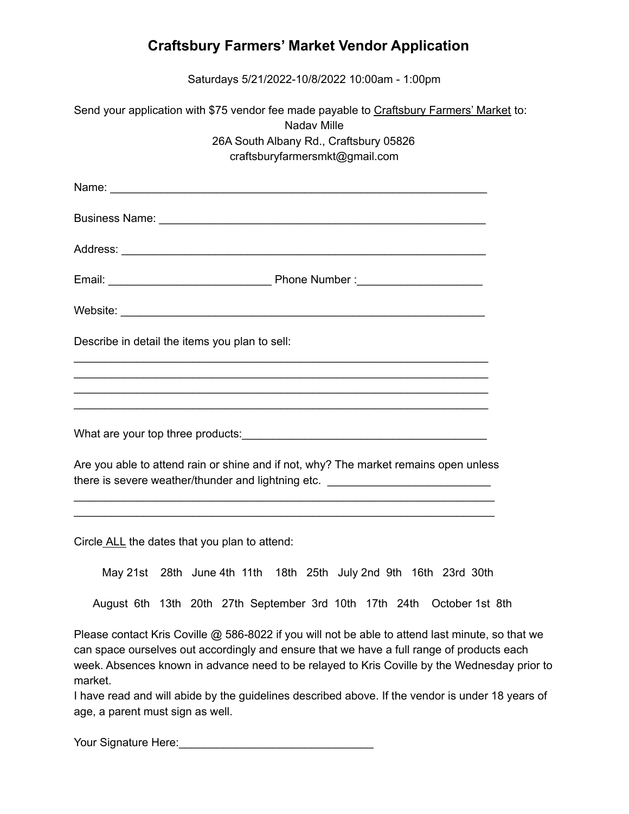## **Craftsbury Farmers' Market Vendor Application**

Saturdays 5/21/2022-10/8/2022 10:00am - 1:00pm

Send your application with \$75 vendor fee made payable to Craftsbury Farmers' Market to: Nadav Mille 26A South Albany Rd., Craftsbury 05826 craftsburyfarmersmkt@gmail.com Name: \_\_\_\_\_\_\_\_\_\_\_\_\_\_\_\_\_\_\_\_\_\_\_\_\_\_\_\_\_\_\_\_\_\_\_\_\_\_\_\_\_\_\_\_\_\_\_\_\_\_\_\_\_\_\_\_\_\_\_\_ Business Name: \_\_\_\_\_\_\_\_\_\_\_\_\_\_\_\_\_\_\_\_\_\_\_\_\_\_\_\_\_\_\_\_\_\_\_\_\_\_\_\_\_\_\_\_\_\_\_\_\_\_\_\_ Address: \_\_\_\_\_\_\_\_\_\_\_\_\_\_\_\_\_\_\_\_\_\_\_\_\_\_\_\_\_\_\_\_\_\_\_\_\_\_\_\_\_\_\_\_\_\_\_\_\_\_\_\_\_\_\_\_\_\_ Email: \_\_\_\_\_\_\_\_\_\_\_\_\_\_\_\_\_\_\_\_\_\_\_\_\_\_ Phone Number :\_\_\_\_\_\_\_\_\_\_\_\_\_\_\_\_\_\_\_\_ Website: where  $\blacksquare$ 

Describe in detail the items you plan to sell:

What are your top three products: example and an area of the state of the state of the state of the state of the state of the state of the state of the state of the state of the state of the state of the state of the state

Are you able to attend rain or shine and if not, why? The market remains open unless there is severe weather/thunder and lightning etc. \_\_\_\_\_\_\_\_\_\_\_\_\_\_\_\_\_\_\_\_\_\_\_\_\_\_\_\_\_

\_\_\_\_\_\_\_\_\_\_\_\_\_\_\_\_\_\_\_\_\_\_\_\_\_\_\_\_\_\_\_\_\_\_\_\_\_\_\_\_\_\_\_\_\_\_\_\_\_\_\_\_\_\_\_\_\_\_\_\_\_\_\_\_\_\_\_ \_\_\_\_\_\_\_\_\_\_\_\_\_\_\_\_\_\_\_\_\_\_\_\_\_\_\_\_\_\_\_\_\_\_\_\_\_\_\_\_\_\_\_\_\_\_\_\_\_\_\_\_\_\_\_\_\_\_\_\_\_\_\_\_\_\_\_

\_\_\_\_\_\_\_\_\_\_\_\_\_\_\_\_\_\_\_\_\_\_\_\_\_\_\_\_\_\_\_\_\_\_\_\_\_\_\_\_\_\_\_\_\_\_\_\_\_\_\_\_\_\_\_\_\_\_\_\_\_\_\_\_\_\_ \_\_\_\_\_\_\_\_\_\_\_\_\_\_\_\_\_\_\_\_\_\_\_\_\_\_\_\_\_\_\_\_\_\_\_\_\_\_\_\_\_\_\_\_\_\_\_\_\_\_\_\_\_\_\_\_\_\_\_\_\_\_\_\_\_\_ \_\_\_\_\_\_\_\_\_\_\_\_\_\_\_\_\_\_\_\_\_\_\_\_\_\_\_\_\_\_\_\_\_\_\_\_\_\_\_\_\_\_\_\_\_\_\_\_\_\_\_\_\_\_\_\_\_\_\_\_\_\_\_\_\_\_ \_\_\_\_\_\_\_\_\_\_\_\_\_\_\_\_\_\_\_\_\_\_\_\_\_\_\_\_\_\_\_\_\_\_\_\_\_\_\_\_\_\_\_\_\_\_\_\_\_\_\_\_\_\_\_\_\_\_\_\_\_\_\_\_\_\_

Circle ALL the dates that you plan to attend:

May 21st 28th June 4th 11th 18th 25th July 2nd 9th 16th 23rd 30th

August 6th 13th 20th 27th September 3rd 10th 17th 24th October 1st 8th

Please contact Kris Coville @ 586-8022 if you will not be able to attend last minute, so that we can space ourselves out accordingly and ensure that we have a full range of products each week. Absences known in advance need to be relayed to Kris Coville by the Wednesday prior to market.

I have read and will abide by the guidelines described above. If the vendor is under 18 years of age, a parent must sign as well.

Your Signature Here:\_\_\_\_\_\_\_\_\_\_\_\_\_\_\_\_\_\_\_\_\_\_\_\_\_\_\_\_\_\_\_